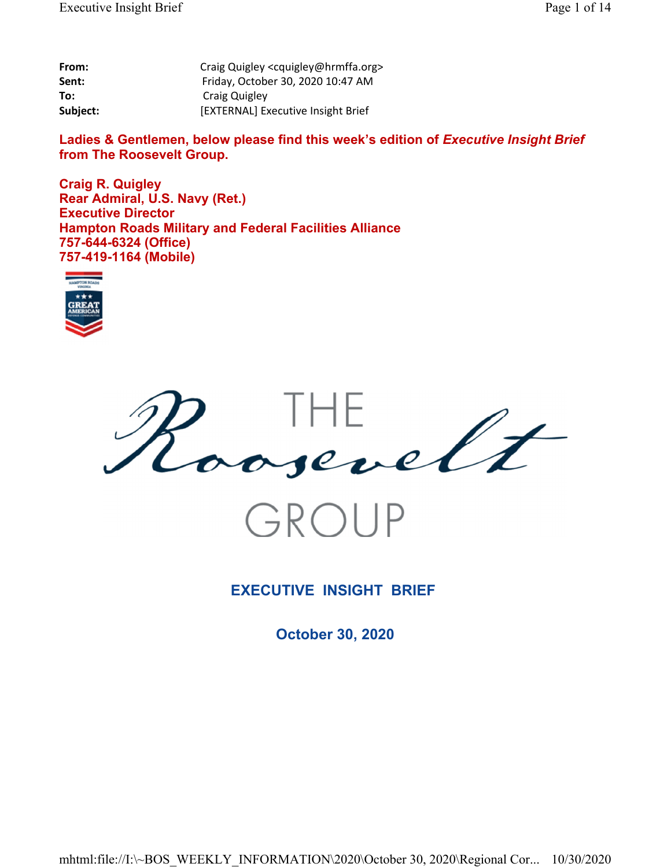| From:    | Craig Quigley <cquigley@hrmffa.org></cquigley@hrmffa.org> |
|----------|-----------------------------------------------------------|
| Sent:    | Friday, October 30, 2020 10:47 AM                         |
| To:      | Craig Quigley                                             |
| Subject: | [EXTERNAL] Executive Insight Brief                        |

Ladies & Gentlemen, below please find this week's edition of *Executive Insight Brief* **from The Roosevelt Group.**

**Craig R. Quigley Rear Admiral, U.S. Navy (Ret.) Executive Director Hampton Roads Military and Federal Facilities Alliance 757-644-6324 (Office) 757-419-1164 (Mobile)**







## **EXECUTIVE INSIGHT BRIEF**

**October 30, 2020**

mhtml:file://I:\~BOS\_WEEKLY\_INFORMATION\2020\October 30, 2020\Regional Cor... 10/30/2020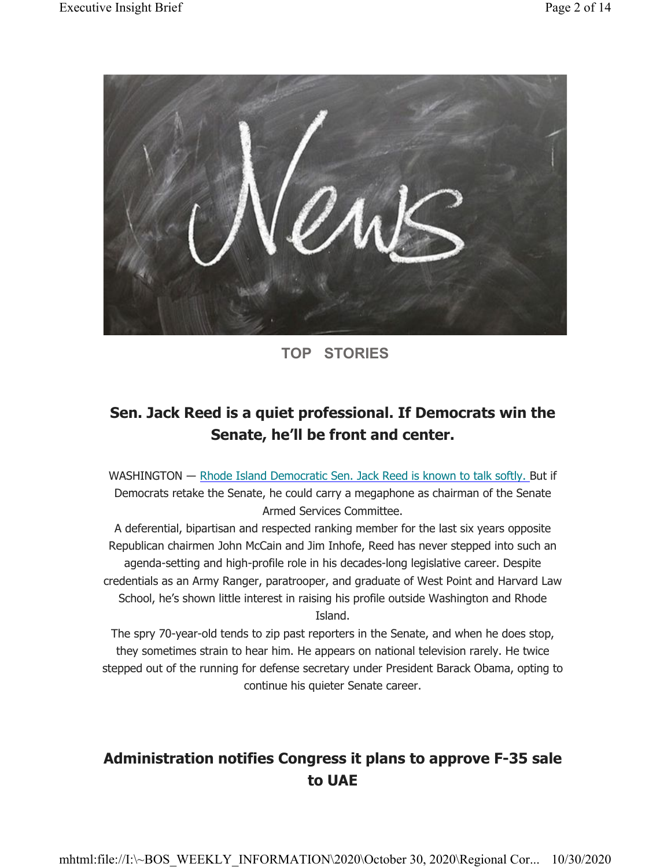

**TOP STORIES**

# **Sen. Jack Reed is a quiet professional. If Democrats win the Senate, he'll be front and center.**

WASHINGTON — Rhode Island Democratic Sen. Jack Reed is known to talk softly. But if Democrats retake the Senate, he could carry a megaphone as chairman of the Senate Armed Services Committee.

A deferential, bipartisan and respected ranking member for the last six years opposite Republican chairmen John McCain and Jim Inhofe, Reed has never stepped into such an agenda-setting and high-profile role in his decades-long legislative career. Despite credentials as an Army Ranger, paratrooper, and graduate of West Point and Harvard Law School, he's shown little interest in raising his profile outside Washington and Rhode Island.

The spry 70-year-old tends to zip past reporters in the Senate, and when he does stop, they sometimes strain to hear him. He appears on national television rarely. He twice stepped out of the running for defense secretary under President Barack Obama, opting to continue his quieter Senate career.

# **Administration notifies Congress it plans to approve F-35 sale to UAE**

mhtml:file://I:\~BOS\_WEEKLY\_INFORMATION\2020\October 30, 2020\Regional Cor... 10/30/2020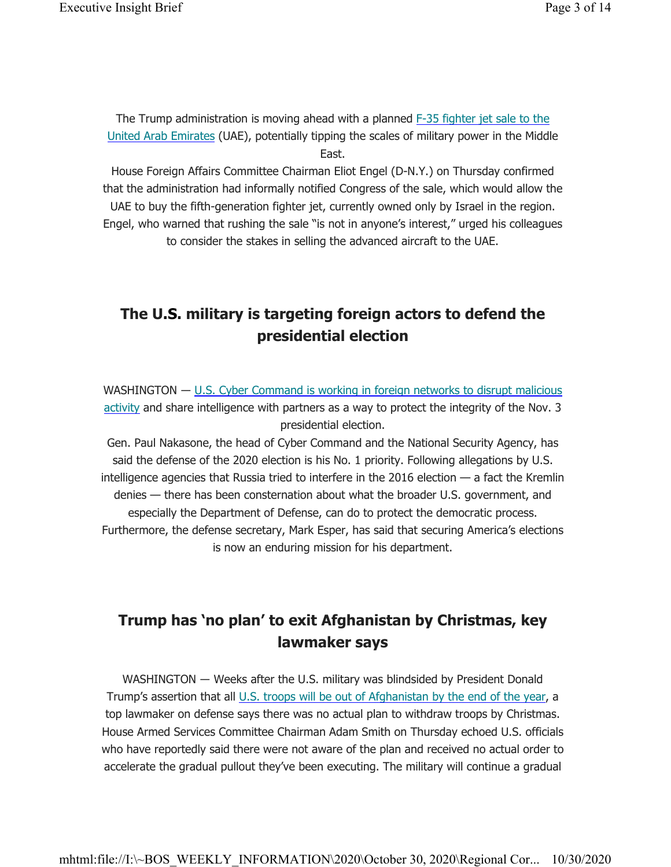The Trump administration is moving ahead with a planned  $F-35$  fighter jet sale to the United Arab Emirates (UAE), potentially tipping the scales of military power in the Middle East.

House Foreign Affairs Committee Chairman Eliot Engel (D-N.Y.) on Thursday confirmed that the administration had informally notified Congress of the sale, which would allow the UAE to buy the fifth-generation fighter jet, currently owned only by Israel in the region. Engel, who warned that rushing the sale "is not in anyone's interest," urged his colleagues to consider the stakes in selling the advanced aircraft to the UAE.

# **The U.S. military is targeting foreign actors to defend the presidential election**

WASHINGTON — U.S. Cyber Command is working in foreign networks to disrupt malicious activity and share intelligence with partners as a way to protect the integrity of the Nov. 3 presidential election.

Gen. Paul Nakasone, the head of Cyber Command and the National Security Agency, has said the defense of the 2020 election is his No. 1 priority. Following allegations by U.S. intelligence agencies that Russia tried to interfere in the 2016 election — a fact the Kremlin denies — there has been consternation about what the broader U.S. government, and especially the Department of Defense, can do to protect the democratic process. Furthermore, the defense secretary, Mark Esper, has said that securing America's elections is now an enduring mission for his department.

# **Trump has 'no plan' to exit Afghanistan by Christmas, key lawmaker says**

WASHINGTON ― Weeks after the U.S. military was blindsided by President Donald Trump's assertion that all U.S. troops will be out of Afghanistan by the end of the year, a top lawmaker on defense says there was no actual plan to withdraw troops by Christmas. House Armed Services Committee Chairman Adam Smith on Thursday echoed U.S. officials who have reportedly said there were not aware of the plan and received no actual order to accelerate the gradual pullout they've been executing. The military will continue a gradual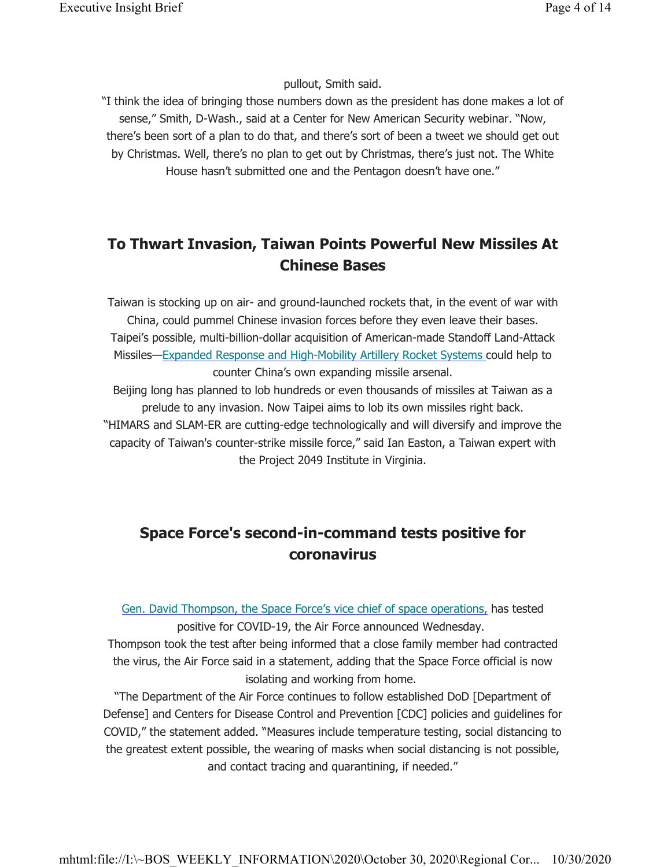pullout, Smith said.

"I think the idea of bringing those numbers down as the president has done makes a lot of sense," Smith, D-Wash., said at a Center for New American Security webinar. "Now, there's been sort of a plan to do that, and there's sort of been a tweet we should get out by Christmas. Well, there's no plan to get out by Christmas, there's just not. The White House hasn't submitted one and the Pentagon doesn't have one."

# **To Thwart Invasion, Taiwan Points Powerful New Missiles At Chinese Bases**

Taiwan is stocking up on air- and ground-launched rockets that, in the event of war with China, could pummel Chinese invasion forces before they even leave their bases. Taipei's possible, multi-billion-dollar acquisition of American-made Standoff Land-Attack Missiles—Expanded Response and High-Mobility Artillery Rocket Systems could help to counter China's own expanding missile arsenal.

Beijing long has planned to lob hundreds or even thousands of missiles at Taiwan as a prelude to any invasion. Now Taipei aims to lob its own missiles right back. "HIMARS and SLAM-ER are cutting-edge technologically and will diversify and improve the capacity of Taiwan's counter-strike missile force," said Ian Easton, a Taiwan expert with the Project 2049 Institute in Virginia.

# **Space Force's second-in-command tests positive for coronavirus**

Gen. David Thompson, the Space Force's vice chief of space operations, has tested positive for COVID-19, the Air Force announced Wednesday.

Thompson took the test after being informed that a close family member had contracted the virus, the Air Force said in a statement, adding that the Space Force official is now isolating and working from home.

"The Department of the Air Force continues to follow established DoD [Department of Defense] and Centers for Disease Control and Prevention [CDC] policies and guidelines for COVID," the statement added. "Measures include temperature testing, social distancing to the greatest extent possible, the wearing of masks when social distancing is not possible, and contact tracing and quarantining, if needed."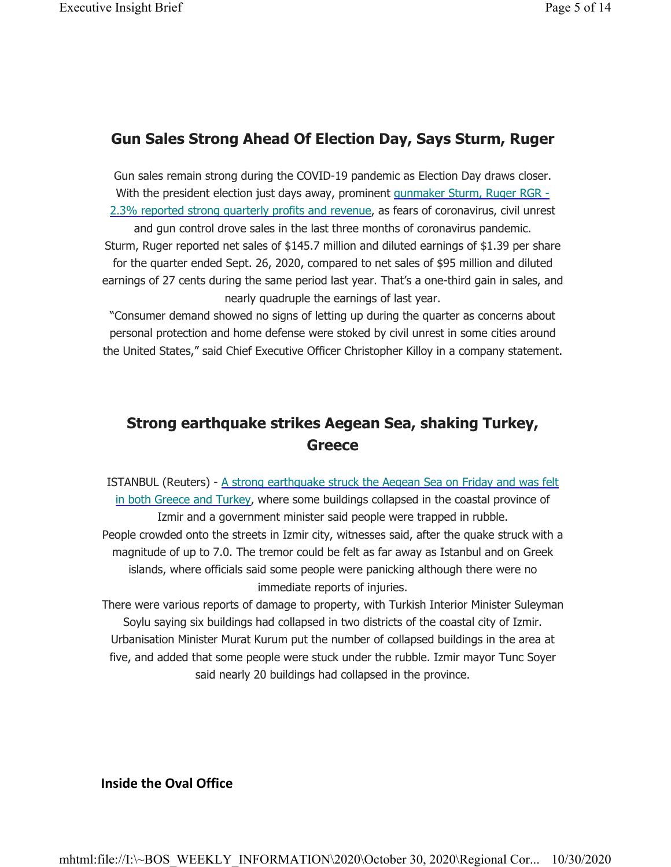## **Gun Sales Strong Ahead Of Election Day, Says Sturm, Ruger**

Gun sales remain strong during the COVID-19 pandemic as Election Day draws closer. With the president election just days away, prominent gunmaker Sturm, Ruger RGR -2.3% reported strong quarterly profits and revenue, as fears of coronavirus, civil unrest and gun control drove sales in the last three months of coronavirus pandemic. Sturm, Ruger reported net sales of \$145.7 million and diluted earnings of \$1.39 per share for the quarter ended Sept. 26, 2020, compared to net sales of \$95 million and diluted earnings of 27 cents during the same period last year. That's a one-third gain in sales, and nearly quadruple the earnings of last year.

"Consumer demand showed no signs of letting up during the quarter as concerns about personal protection and home defense were stoked by civil unrest in some cities around the United States," said Chief Executive Officer Christopher Killoy in a company statement.

# **Strong earthquake strikes Aegean Sea, shaking Turkey, Greece**

ISTANBUL (Reuters) - A strong earthquake struck the Aegean Sea on Friday and was felt in both Greece and Turkey, where some buildings collapsed in the coastal province of Izmir and a government minister said people were trapped in rubble. People crowded onto the streets in Izmir city, witnesses said, after the quake struck with a magnitude of up to 7.0. The tremor could be felt as far away as Istanbul and on Greek islands, where officials said some people were panicking although there were no immediate reports of injuries.

There were various reports of damage to property, with Turkish Interior Minister Suleyman Soylu saying six buildings had collapsed in two districts of the coastal city of Izmir. Urbanisation Minister Murat Kurum put the number of collapsed buildings in the area at five, and added that some people were stuck under the rubble. Izmir mayor Tunc Soyer said nearly 20 buildings had collapsed in the province.

### **Inside the Oval Office**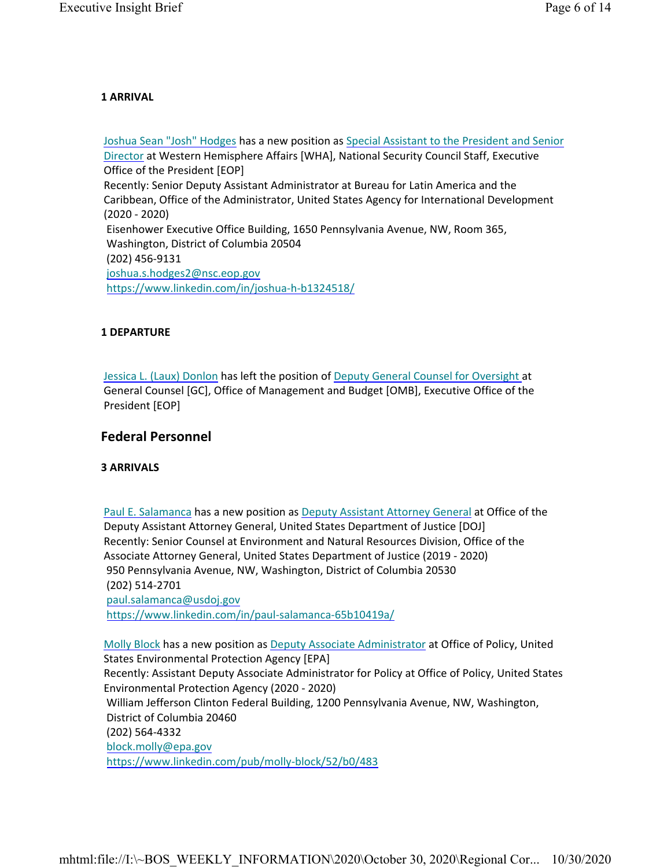#### **1 ARRIVAL**

Joshua Sean "Josh" Hodges has a new position as Special Assistant to the President and Senior Director at Western Hemisphere Affairs [WHA], National Security Council Staff, Executive Office of the President [EOP] Recently: Senior Deputy Assistant Administrator at Bureau for Latin America and the Caribbean, Office of the Administrator, United States Agency for International Development (2020 - 2020) Eisenhower Executive Office Building, 1650 Pennsylvania Avenue, NW, Room 365, Washington, District of Columbia 20504 (202) 456-9131 joshua.s.hodges2@nsc.eop.gov https://www.linkedin.com/in/joshua-h-b1324518/

#### **1 DEPARTURE**

Jessica L. (Laux) Donlon has left the position of Deputy General Counsel for Oversight at General Counsel [GC], Office of Management and Budget [OMB], Executive Office of the President [EOP]

### **Federal Personnel**

#### **3 ARRIVALS**

Paul E. Salamanca has a new position as Deputy Assistant Attorney General at Office of the Deputy Assistant Attorney General, United States Department of Justice [DOJ] Recently: Senior Counsel at Environment and Natural Resources Division, Office of the Associate Attorney General, United States Department of Justice (2019 - 2020) 950 Pennsylvania Avenue, NW, Washington, District of Columbia 20530 (202) 514-2701 paul.salamanca@usdoj.gov https://www.linkedin.com/in/paul-salamanca-65b10419a/

Molly Block has a new position as Deputy Associate Administrator at Office of Policy, United States Environmental Protection Agency [EPA] Recently: Assistant Deputy Associate Administrator for Policy at Office of Policy, United States Environmental Protection Agency (2020 - 2020) William Jefferson Clinton Federal Building, 1200 Pennsylvania Avenue, NW, Washington, District of Columbia 20460 (202) 564-4332 block.molly@epa.gov https://www.linkedin.com/pub/molly-block/52/b0/483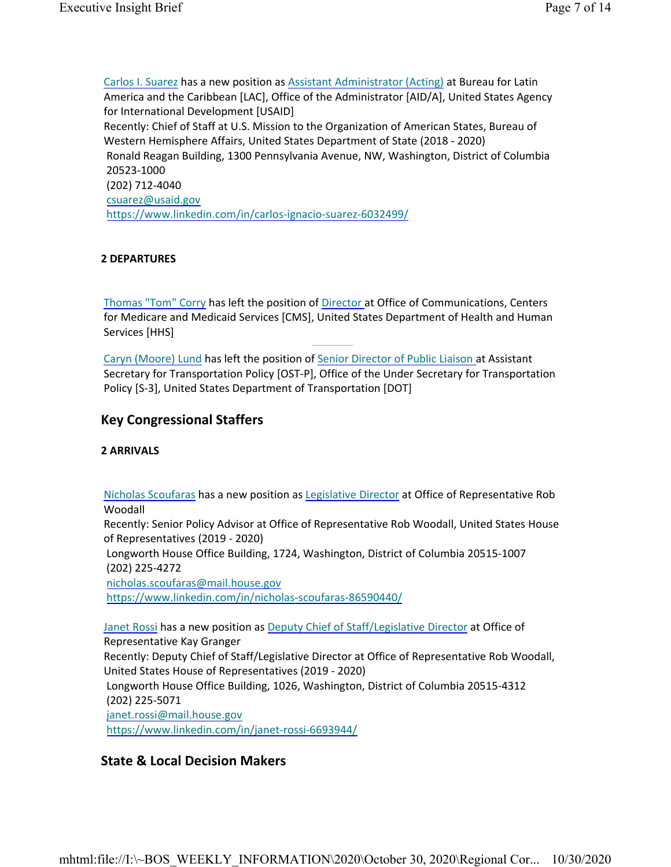Carlos I. Suarez has a new position as Assistant Administrator (Acting) at Bureau for Latin America and the Caribbean [LAC], Office of the Administrator [AID/A], United States Agency for International Development [USAID] Recently: Chief of Staff at U.S. Mission to the Organization of American States, Bureau of Western Hemisphere Affairs, United States Department of State (2018 - 2020) Ronald Reagan Building, 1300 Pennsylvania Avenue, NW, Washington, District of Columbia 20523-1000 (202) 712-4040 csuarez@usaid.gov https://www.linkedin.com/in/carlos-ignacio-suarez-6032499/

#### **2 DEPARTURES**

Thomas "Tom" Corry has left the position of Director at Office of Communications, Centers for Medicare and Medicaid Services [CMS], United States Department of Health and Human Services [HHS]

Caryn (Moore) Lund has left the position of Senior Director of Public Liaison at Assistant Secretary for Transportation Policy [OST-P], Office of the Under Secretary for Transportation Policy [S-3], United States Department of Transportation [DOT]

### **Key Congressional Staffers**

#### **2 ARRIVALS**

Nicholas Scoufaras has a new position as Legislative Director at Office of Representative Rob Woodall

Recently: Senior Policy Advisor at Office of Representative Rob Woodall, United States House of Representatives (2019 - 2020)

Longworth House Office Building, 1724, Washington, District of Columbia 20515-1007 (202) 225-4272

nicholas.scoufaras@mail.house.gov

https://www.linkedin.com/in/nicholas-scoufaras-86590440/

Janet Rossi has a new position as Deputy Chief of Staff/Legislative Director at Office of Representative Kay Granger Recently: Deputy Chief of Staff/Legislative Director at Office of Representative Rob Woodall, United States House of Representatives (2019 - 2020) Longworth House Office Building, 1026, Washington, District of Columbia 20515-4312 (202) 225-5071 janet.rossi@mail.house.gov https://www.linkedin.com/in/janet-rossi-6693944/

### **State & Local Decision Makers**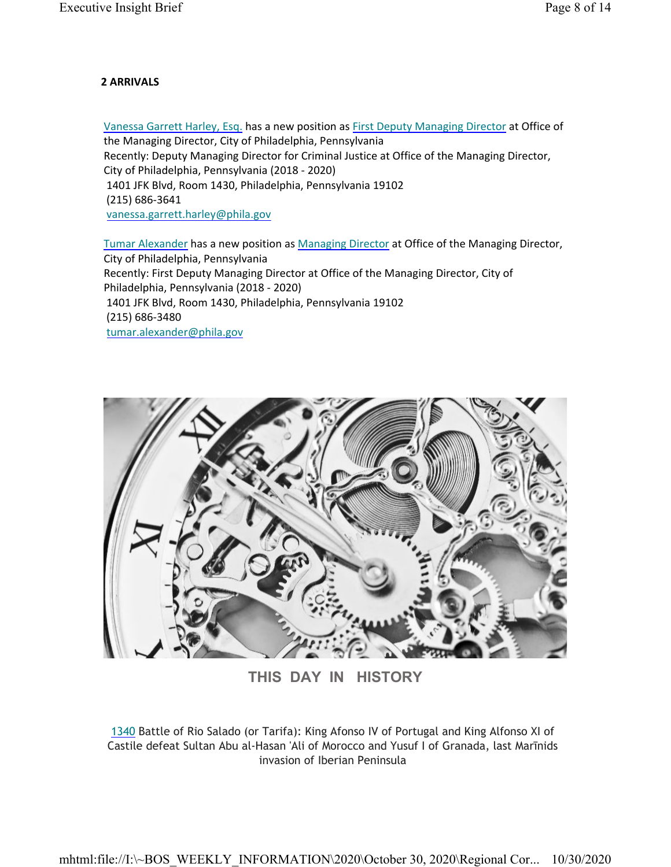#### **2 ARRIVALS**

Vanessa Garrett Harley, Esq. has a new position as First Deputy Managing Director at Office of the Managing Director, City of Philadelphia, Pennsylvania Recently: Deputy Managing Director for Criminal Justice at Office of the Managing Director, City of Philadelphia, Pennsylvania (2018 - 2020) 1401 JFK Blvd, Room 1430, Philadelphia, Pennsylvania 19102 (215) 686-3641 vanessa.garrett.harley@phila.gov

Tumar Alexander has a new position as Managing Director at Office of the Managing Director, City of Philadelphia, Pennsylvania Recently: First Deputy Managing Director at Office of the Managing Director, City of Philadelphia, Pennsylvania (2018 - 2020) 1401 JFK Blvd, Room 1430, Philadelphia, Pennsylvania 19102 (215) 686-3480 tumar.alexander@phila.gov



**THIS DAY IN HISTORY**

1340 Battle of Rio Salado (or Tarifa): King Afonso IV of Portugal and King Alfonso XI of Castile defeat Sultan Abu al-Hasan 'Ali of Morocco and Yusuf I of Granada, last Marīnids invasion of Iberian Peninsula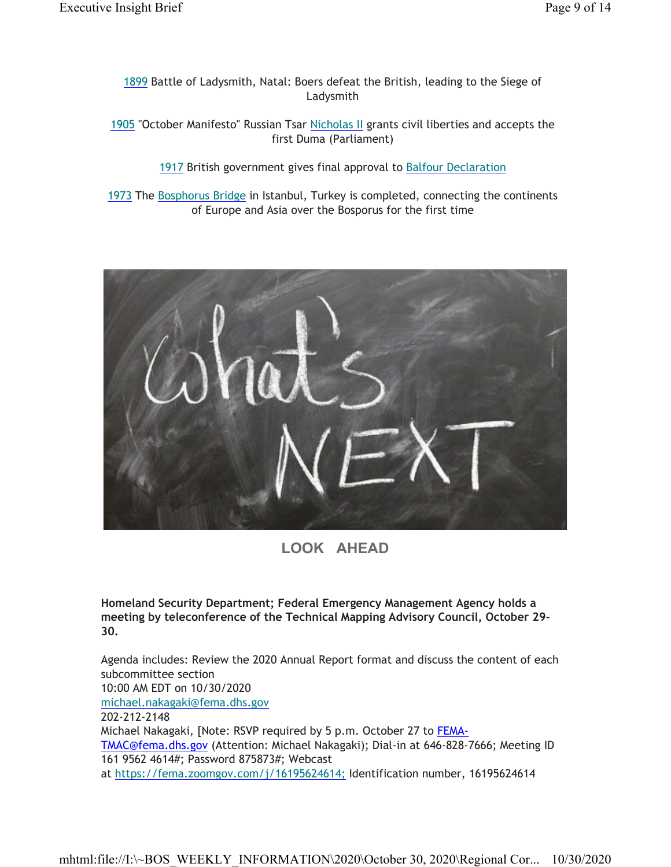1899 Battle of Ladysmith, Natal: Boers defeat the British, leading to the Siege of Ladysmith

1905 "October Manifesto" Russian Tsar Nicholas II grants civil liberties and accepts the first Duma (Parliament)

1917 British government gives final approval to Balfour Declaration

1973 The Bosphorus Bridge in Istanbul, Turkey is completed, connecting the continents of Europe and Asia over the Bosporus for the first time



**LOOK AHEAD**

**Homeland Security Department; Federal Emergency Management Agency holds a meeting by teleconference of the Technical Mapping Advisory Council, October 29- 30.**

Agenda includes: Review the 2020 Annual Report format and discuss the content of each subcommittee section 10:00 AM EDT on 10/30/2020 michael.nakagaki@fema.dhs.gov 202-212-2148 Michael Nakagaki, [Note: RSVP required by 5 p.m. October 27 to FEMA-TMAC@fema.dhs.gov (Attention: Michael Nakagaki); Dial-in at 646-828-7666; Meeting ID 161 9562 4614#; Password 875873#; Webcast at https://fema.zoomgov.com/j/16195624614; Identification number, 16195624614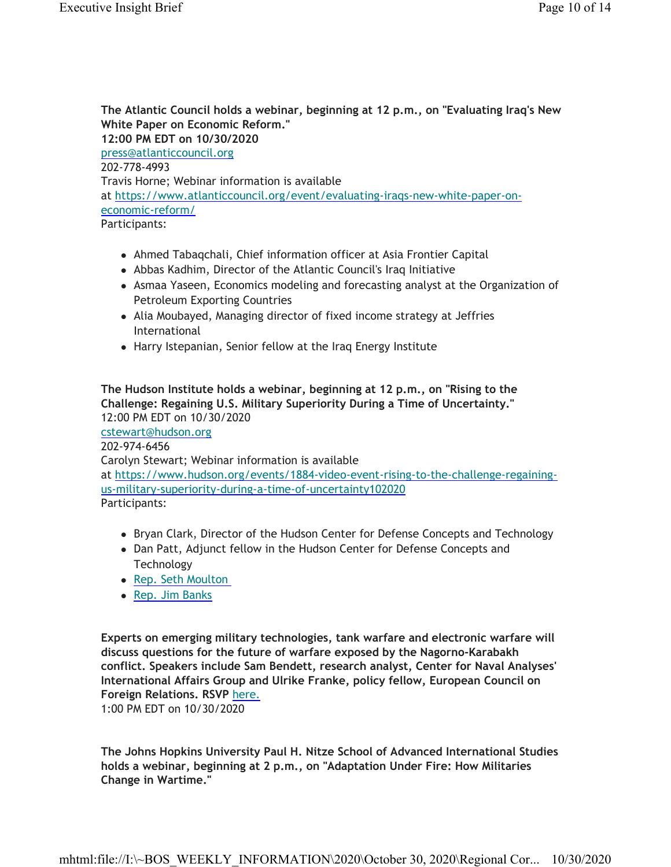**The Atlantic Council holds a webinar, beginning at 12 p.m., on "Evaluating Iraq's New White Paper on Economic Reform." 12:00 PM EDT on 10/30/2020** press@atlanticcouncil.org 202-778-4993 Travis Horne; Webinar information is available at https://www.atlanticcouncil.org/event/evaluating-iraqs-new-white-paper-oneconomic-reform/ Participants:

- Ahmed Tabaqchali, Chief information officer at Asia Frontier Capital
- Abbas Kadhim, Director of the Atlantic Council's Iraq Initiative
- Asmaa Yaseen, Economics modeling and forecasting analyst at the Organization of Petroleum Exporting Countries
- Alia Moubayed, Managing director of fixed income strategy at Jeffries International
- Harry Istepanian, Senior fellow at the Iraq Energy Institute

**The Hudson Institute holds a webinar, beginning at 12 p.m., on "Rising to the Challenge: Regaining U.S. Military Superiority During a Time of Uncertainty."** 12:00 PM EDT on 10/30/2020 cstewart@hudson.org 202-974-6456 Carolyn Stewart; Webinar information is available at https://www.hudson.org/events/1884-video-event-rising-to-the-challenge-regainingus-military-superiority-during-a-time-of-uncertainty102020 Participants:

- Bryan Clark, Director of the Hudson Center for Defense Concepts and Technology
- Dan Patt, Adjunct fellow in the Hudson Center for Defense Concepts and Technology
- Rep. Seth Moulton
- Rep. Jim Banks

**Experts on emerging military technologies, tank warfare and electronic warfare will discuss questions for the future of warfare exposed by the Nagorno-Karabakh conflict. Speakers include Sam Bendett, research analyst, Center for Naval Analyses' International Affairs Group and Ulrike Franke, policy fellow, European Council on Foreign Relations. RSVP** here.

1:00 PM EDT on 10/30/2020

**The Johns Hopkins University Paul H. Nitze School of Advanced International Studies holds a webinar, beginning at 2 p.m., on "Adaptation Under Fire: How Militaries Change in Wartime."**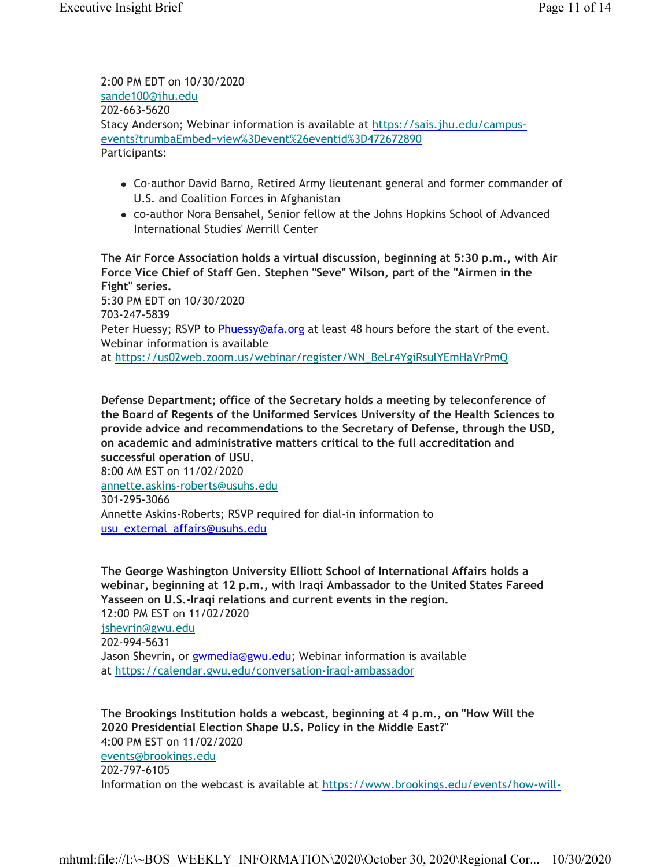2:00 PM EDT on 10/30/2020 sande100@jhu.edu 202-663-5620 Stacy Anderson; Webinar information is available at https://sais.jhu.edu/campusevents?trumbaEmbed=view%3Devent%26eventid%3D472672890 Participants:

- Co-author David Barno, Retired Army lieutenant general and former commander of U.S. and Coalition Forces in Afghanistan
- co-author Nora Bensahel, Senior fellow at the Johns Hopkins School of Advanced International Studies' Merrill Center

**The Air Force Association holds a virtual discussion, beginning at 5:30 p.m., with Air Force Vice Chief of Staff Gen. Stephen "Seve" Wilson, part of the "Airmen in the Fight" series.** 5:30 PM EDT on 10/30/2020 703-247-5839 Peter Huessy; RSVP to *Phuessy@afa.org* at least 48 hours before the start of the event. Webinar information is available

at https://us02web.zoom.us/webinar/register/WN\_BeLr4YgiRsulYEmHaVrPmQ

**Defense Department; office of the Secretary holds a meeting by teleconference of the Board of Regents of the Uniformed Services University of the Health Sciences to provide advice and recommendations to the Secretary of Defense, through the USD, on academic and administrative matters critical to the full accreditation and successful operation of USU.**

8:00 AM EST on 11/02/2020 annette.askins-roberts@usuhs.edu 301-295-3066

Annette Askins-Roberts; RSVP required for dial-in information to usu\_external\_affairs@usuhs.edu

**The George Washington University Elliott School of International Affairs holds a webinar, beginning at 12 p.m., with Iraqi Ambassador to the United States Fareed Yasseen on U.S.-Iraqi relations and current events in the region.** 12:00 PM EST on 11/02/2020 jshevrin@gwu.edu 202-994-5631 Jason Shevrin, or *gwmedia@gwu.edu*; Webinar information is available at https://calendar.gwu.edu/conversation-iraqi-ambassador

**The Brookings Institution holds a webcast, beginning at 4 p.m., on "How Will the 2020 Presidential Election Shape U.S. Policy in the Middle East?"** 4:00 PM EST on 11/02/2020 events@brookings.edu 202-797-6105

Information on the webcast is available at https://www.brookings.edu/events/how-will-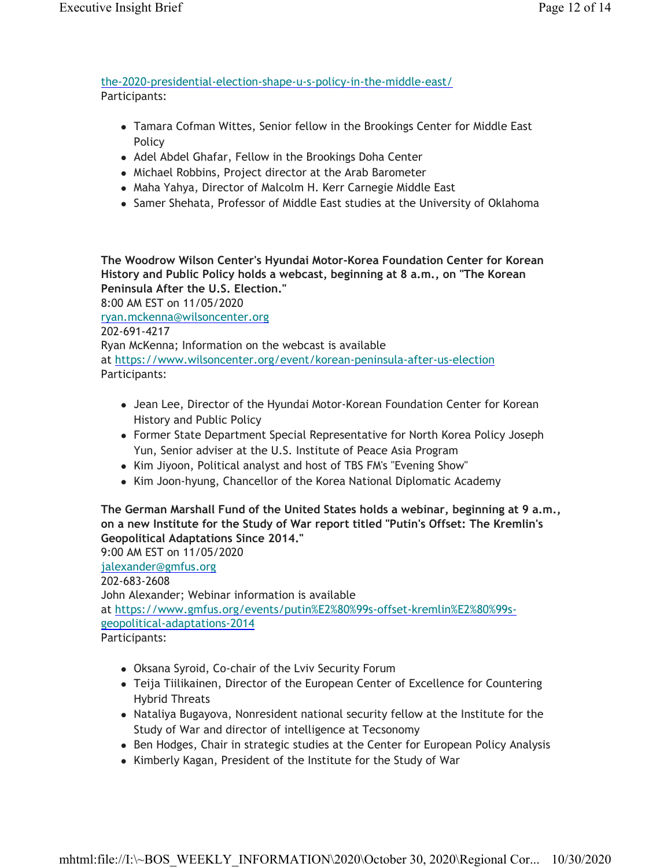the-2020-presidential-election-shape-u-s-policy-in-the-middle-east/ Participants:

- Tamara Cofman Wittes, Senior fellow in the Brookings Center for Middle East Policy
- Adel Abdel Ghafar, Fellow in the Brookings Doha Center
- Michael Robbins, Project director at the Arab Barometer
- Maha Yahya, Director of Malcolm H. Kerr Carnegie Middle East
- Samer Shehata, Professor of Middle East studies at the University of Oklahoma

**The Woodrow Wilson Center's Hyundai Motor-Korea Foundation Center for Korean History and Public Policy holds a webcast, beginning at 8 a.m., on "The Korean Peninsula After the U.S. Election."** 8:00 AM EST on 11/05/2020 ryan.mckenna@wilsoncenter.org 202-691-4217 Ryan McKenna; Information on the webcast is available at https://www.wilsoncenter.org/event/korean-peninsula-after-us-election Participants:

- Jean Lee, Director of the Hyundai Motor-Korean Foundation Center for Korean History and Public Policy
- Former State Department Special Representative for North Korea Policy Joseph Yun, Senior adviser at the U.S. Institute of Peace Asia Program
- Kim Jiyoon, Political analyst and host of TBS FM's "Evening Show"
- Kim Joon-hyung, Chancellor of the Korea National Diplomatic Academy

### **The German Marshall Fund of the United States holds a webinar, beginning at 9 a.m., on a new Institute for the Study of War report titled "Putin's Offset: The Kremlin's Geopolitical Adaptations Since 2014."**

9:00 AM EST on 11/05/2020 jalexander@gmfus.org 202-683-2608 John Alexander; Webinar information is available at https://www.gmfus.org/events/putin%E2%80%99s-offset-kremlin%E2%80%99sgeopolitical-adaptations-2014 Participants:

- Oksana Syroid, Co-chair of the Lviv Security Forum
- Teija Tiilikainen, Director of the European Center of Excellence for Countering Hybrid Threats
- Nataliya Bugayova, Nonresident national security fellow at the Institute for the Study of War and director of intelligence at Tecsonomy
- Ben Hodges, Chair in strategic studies at the Center for European Policy Analysis
- Kimberly Kagan, President of the Institute for the Study of War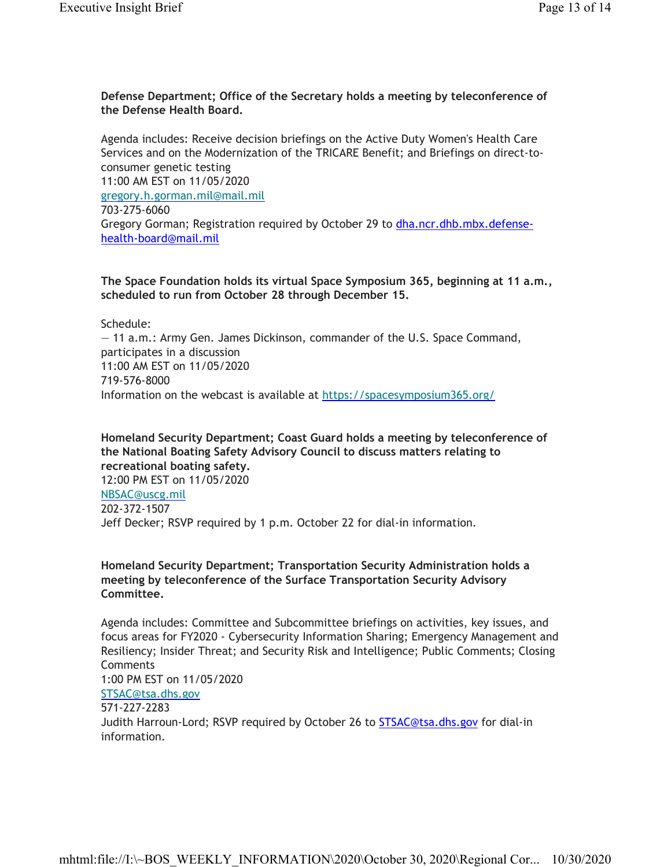#### **Defense Department; Office of the Secretary holds a meeting by teleconference of the Defense Health Board.**

Agenda includes: Receive decision briefings on the Active Duty Women's Health Care Services and on the Modernization of the TRICARE Benefit; and Briefings on direct-toconsumer genetic testing 11:00 AM EST on 11/05/2020 gregory.h.gorman.mil@mail.mil 703-275-6060 Gregory Gorman; Registration required by October 29 to dha.ncr.dhb.mbx.defensehealth-board@mail.mil

**The Space Foundation holds its virtual Space Symposium 365, beginning at 11 a.m., scheduled to run from October 28 through December 15.**

Schedule:

— 11 a.m.: Army Gen. James Dickinson, commander of the U.S. Space Command, participates in a discussion 11:00 AM EST on 11/05/2020 719-576-8000 Information on the webcast is available at https://spacesymposium365.org/

**Homeland Security Department; Coast Guard holds a meeting by teleconference of the National Boating Safety Advisory Council to discuss matters relating to recreational boating safety.** 12:00 PM EST on 11/05/2020 NBSAC@uscg.mil

202-372-1507 Jeff Decker; RSVP required by 1 p.m. October 22 for dial-in information.

### **Homeland Security Department; Transportation Security Administration holds a meeting by teleconference of the Surface Transportation Security Advisory Committee.**

Agenda includes: Committee and Subcommittee briefings on activities, key issues, and focus areas for FY2020 - Cybersecurity Information Sharing; Emergency Management and Resiliency; Insider Threat; and Security Risk and Intelligence; Public Comments; Closing **Comments** 1:00 PM EST on 11/05/2020 STSAC@tsa.dhs.gov 571-227-2283 Judith Harroun-Lord; RSVP required by October 26 to **STSAC@tsa.dhs.gov** for dial-in information.